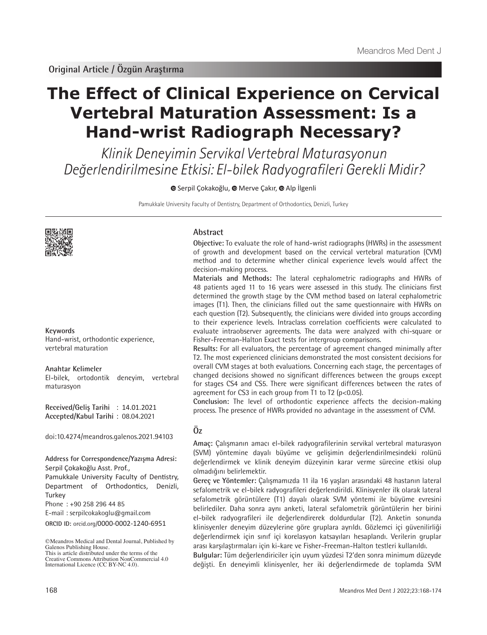# **The Effect of Clinical Experience on Cervical Vertebral Maturation Assessment: Is a Hand-wrist Radiograph Necessary?**

Klinik Deneyimin Servikal Vertebral Maturasyonun Değerlendirilmesine Etkisi: El-bilek Radyografileri Gerekli Midir?

**G**Serpil Çokakoğlu, <sup>®</sup> Merve Çakır, <sup>®</sup> Alp İlgenli

Pamukkale University Faculty of Dentistry, Department of Orthodontics, Denizli, Turkey



**Keywords**

Hand-wrist, orthodontic experience, vertebral maturation

#### **Anahtar Kelimeler**

El-bilek, ortodontik deneyim, vertebral maturasyon

**Received/Geliş Tarihi** : 14.01.2021 **Accepted/Kabul Tarihi** : 08.04.2021

doi:10.4274/meandros.galenos.2021.94103

**Address for Correspondence/Yazışma Adresi:** Serpil Çokakoğlu Asst. Prof.,

Pamukkale University Faculty of Dentistry, Department of Orthodontics, Denizli, **Turkey** 

Phone : +90 258 296 44 85

E-mail : serpilcokakoglu@gmail.com

**ORCID ID:** orcid.org/0000-0002-1240-6951

#### **Abstract**

**Objective:** To evaluate the role of hand-wrist radiographs (HWRs) in the assessment of growth and development based on the cervical vertebral maturation (CVM) method and to determine whether clinical experience levels would affect the decision-making process.

**Materials and Methods:** The lateral cephalometric radiographs and HWRs of 48 patients aged 11 to 16 years were assessed in this study. The clinicians first determined the growth stage by the CVM method based on lateral cephalometric images (T1). Then, the clinicians filled out the same questionnaire with HWRs on each question (T2). Subsequently, the clinicians were divided into groups according to their experience levels. Intraclass correlation coefficients were calculated to evaluate intraobserver agreements. The data were analyzed with chi-square or Fisher-Freeman-Halton Exact tests for intergroup comparisons.

**Results:** For all evaluators, the percentage of agreement changed minimally after T2. The most experienced clinicians demonstrated the most consistent decisions for overall CVM stages at both evaluations. Concerning each stage, the percentages of changed decisions showed no significant differences between the groups except for stages CS4 and CS5. There were significant differences between the rates of agreement for CS3 in each group from T1 to T2 (p<0.05).

**Conclusion:** The level of orthodontic experience affects the decision-making process. The presence of HWRs provided no advantage in the assessment of CVM.

# **Öz**

**Amaç:** Çalışmanın amacı el-bilek radyografilerinin servikal vertebral maturasyon (SVM) yöntemine dayalı büyüme ve gelişimin değerlendirilmesindeki rolünü değerlendirmek ve klinik deneyim düzeyinin karar verme sürecine etkisi olup olmadığını belirlemektir.

**Gereç ve Yöntemler:** Çalışmamızda 11 ila 16 yaşları arasındaki 48 hastanın lateral sefalometrik ve el-bilek radyografileri değerlendirildi. Klinisyenler ilk olarak lateral sefalometrik görüntülere (T1) dayalı olarak SVM yöntemi ile büyüme evresini belirlediler. Daha sonra aynı anketi, lateral sefalometrik görüntülerin her birini el-bilek radyografileri ile değerlendirerek doldurdular (T2). Anketin sonunda klinisyenler deneyim düzeylerine göre gruplara ayrıldı. Gözlemci içi güvenilirliği değerlendirmek için sınıf içi korelasyon katsayıları hesaplandı. Verilerin gruplar arası karşılaştırmaları için ki-kare ve Fisher-Freeman-Halton testleri kullanıldı.

**Bulgular:** Tüm değerlendiriciler için uyum yüzdesi T2'den sonra minimum düzeyde değişti. En deneyimli klinisyenler, her iki değerlendirmede de toplamda SVM

<sup>©</sup>Meandros Medical and Dental Journal, Published by Galenos Publishing House. This is article distributed under the terms of the

Creative Commons Attribution NonCommercial 4.0 International Licence (CC BY-NC 4.0).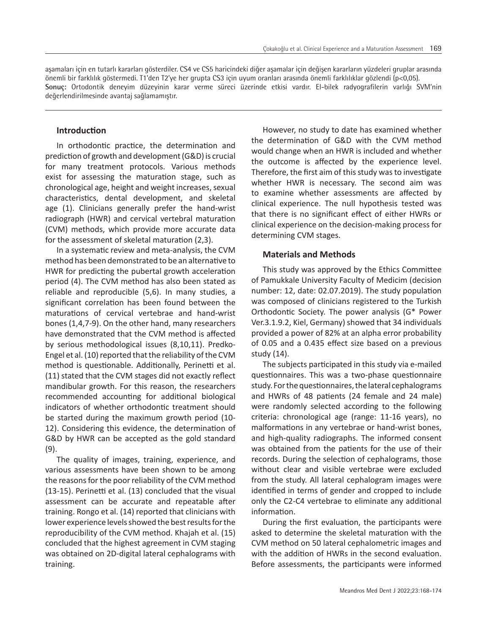aşamaları için en tutarlı kararları gösterdiler. CS4 ve CS5 haricindeki diğer aşamalar için değişen kararların yüzdeleri gruplar arasında önemli bir farklılık göstermedi. T1'den T2'ye her grupta CS3 için uyum oranları arasında önemli farklılıklar gözlendi (p<0,05). **Sonuç:** Ortodontik deneyim düzeyinin karar verme süreci üzerinde etkisi vardır. El-bilek radyografilerin varlığı SVM'nin değerlendirilmesinde avantaj sağlamamıştır.

### **Introduction**

In orthodontic practice, the determination and prediction of growth and development (G&D) is crucial for many treatment protocols. Various methods exist for assessing the maturation stage, such as chronological age, height and weight increases, sexual characteristics, dental development, and skeletal age (1). Clinicians generally prefer the hand-wrist radiograph (HWR) and cervical vertebral maturation (CVM) methods, which provide more accurate data for the assessment of skeletal maturation (2,3).

In a systematic review and meta-analysis, the CVM method has been demonstrated to be an alternative to HWR for predicting the pubertal growth acceleration period (4). The CVM method has also been stated as reliable and reproducible (5,6). In many studies, a significant correlation has been found between the maturations of cervical vertebrae and hand-wrist bones (1,4,7-9). On the other hand, many researchers have demonstrated that the CVM method is affected by serious methodological issues (8,10,11). Predko-Engel et al. (10) reported that the reliability of the CVM method is questionable. Additionally, Perinetti et al. (11) stated that the CVM stages did not exactly reflect mandibular growth. For this reason, the researchers recommended accounting for additional biological indicators of whether orthodontic treatment should be started during the maximum growth period (10- 12). Considering this evidence, the determination of G&D by HWR can be accepted as the gold standard (9).

The quality of images, training, experience, and various assessments have been shown to be among the reasons for the poor reliability of the CVM method (13-15). Perinetti et al. (13) concluded that the visual assessment can be accurate and repeatable after training. Rongo et al. (14) reported that clinicians with lower experience levels showed the best results for the reproducibility of the CVM method. Khajah et al. (15) concluded that the highest agreement in CVM staging was obtained on 2D-digital lateral cephalograms with training.

However, no study to date has examined whether the determination of G&D with the CVM method would change when an HWR is included and whether the outcome is affected by the experience level. Therefore, the first aim of this study was to investigate whether HWR is necessary. The second aim was to examine whether assessments are affected by clinical experience. The null hypothesis tested was that there is no significant effect of either HWRs or clinical experience on the decision-making process for determining CVM stages.

### **Materials and Methods**

This study was approved by the Ethics Committee of Pamukkale University Faculty of Medicim (decision number: 12, date: 02.07.2019). The study population was composed of clinicians registered to the Turkish Orthodontic Society. The power analysis (G\* Power Ver.3.1.9.2, Kiel, Germany) showed that 34 individuals provided a power of 82% at an alpha error probability of 0.05 and a 0.435 effect size based on a previous study (14).

The subjects participated in this study via e-mailed questionnaires. This was a two-phase questionnaire study. For the questionnaires, the lateral cephalograms and HWRs of 48 patients (24 female and 24 male) were randomly selected according to the following criteria: chronological age (range: 11-16 years), no malformations in any vertebrae or hand-wrist bones, and high-quality radiographs. The informed consent was obtained from the patients for the use of their records. During the selection of cephalograms, those without clear and visible vertebrae were excluded from the study. All lateral cephalogram images were identified in terms of gender and cropped to include only the C2-C4 vertebrae to eliminate any additional information.

During the first evaluation, the participants were asked to determine the skeletal maturation with the CVM method on 50 lateral cephalometric images and with the addition of HWRs in the second evaluation. Before assessments, the participants were informed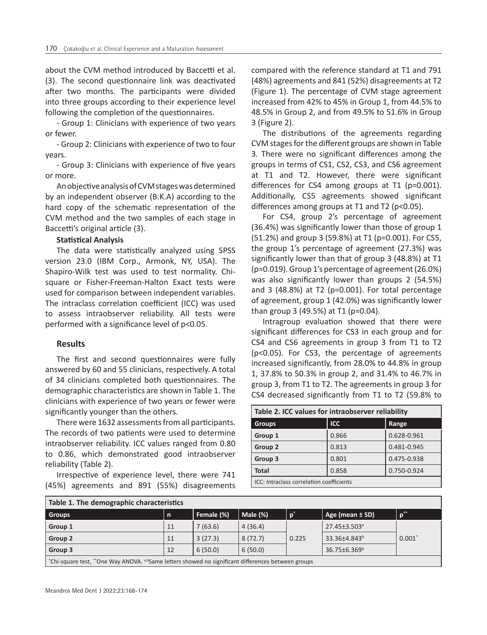about the CVM method introduced by Baccetti et al. (3). The second questionnaire link was deactivated after two months. The participants were divided into three groups according to their experience level following the completion of the questionnaires.

- Group 1: Clinicians with experience of two years or fewer.

- Group 2: Clinicians with experience of two to four years.

- Group 3: Clinicians with experience of five years or more.

An objective analysis of CVM stages was determined by an independent observer (B.K.A) according to the hard copy of the schematic representation of the CVM method and the two samples of each stage in Baccetti's original article (3).

## **Statistical Analysis**

The data were statistically analyzed using SPSS version 23.0 (IBM Corp., Armonk, NY, USA). The Shapiro-Wilk test was used to test normality. Chisquare or Fisher-Freeman-Halton Exact tests were used for comparison between independent variables. The intraclass correlation coefficient (ICC) was used to assess intraobserver reliability. All tests were performed with a significance level of p˂0.05.

## **Results**

The first and second questionnaires were fully answered by 60 and 55 clinicians, respectively. A total of 34 clinicians completed both questionnaires. The demographic characteristics are shown in Table 1. The clinicians with experience of two years or fewer were significantly younger than the others.

There were 1632 assessments from all participants. The records of two patients were used to determine intraobserver reliability. ICC values ranged from 0.80 to 0.86, which demonstrated good intraobserver reliability (Table 2).

Irrespective of experience level, there were 741 (45%) agreements and 891 (55%) disagreements compared with the reference standard at T1 and 791 (48%) agreements and 841 (52%) disagreements at T2 (Figure 1). The percentage of CVM stage agreement increased from 42% to 45% in Group 1, from 44.5% to 48.5% in Group 2, and from 49.5% to 51.6% in Group 3 (Figure 2).

The distributions of the agreements regarding CVM stages for the different groups are shown in Table 3. There were no significant differences among the groups in terms of CS1, CS2, CS3, and CS6 agreement at T1 and T2. However, there were significant differences for CS4 among groups at T1 (p=0.001). Additionally, CS5 agreements showed significant differences among groups at T1 and T2 (p˂0.05).

For CS4, group 2's percentage of agreement (36.4%) was significantly lower than those of group 1 (51.2%) and group 3 (59.8%) at T1 (p=0.001). For CS5, the group 1's percentage of agreement (27.3%) was significantly lower than that of group 3 (48.8%) at T1 (p=0.019). Group 1's percentage of agreement (26.0%) was also significantly lower than groups 2 (54.5%) and 3 (48.8%) at T2 (p=0.001). For total percentage of agreement, group 1 (42.0%) was significantly lower than group 3 (49.5%) at T1 (p=0.04).

Intragroup evaluation showed that there were significant differences for CS3 in each group and for CS4 and CS6 agreements in group 3 from T1 to T2 (p<0.05). For CS3, the percentage of agreements increased significantly, from 28.0% to 44.8% in group 1, 37.8% to 50.3% in group 2, and 31.4% to 46.7% in group 3, from T1 to T2. The agreements in group 3 for CS4 decreased significantly from T1 to T2 (59.8% to

| Table 2. ICC values for intraobserver reliability |            |             |  |  |  |
|---------------------------------------------------|------------|-------------|--|--|--|
| <b>Groups</b>                                     | <b>ICC</b> | Range       |  |  |  |
| Group 1                                           | 0.866      | 0.628-0.961 |  |  |  |
| Group 2                                           | 0.813      | 0.481-0.945 |  |  |  |
| Group 3                                           | 0.801      | 0.475-0.938 |  |  |  |
| <b>Total</b>                                      | 0.858      | 0.750-0.924 |  |  |  |
| ICC: Intraclass correlation coefficients          |            |             |  |  |  |

| Table 1. The demographic characteristics                                                                        |              |            |          |                  |                          |          |  |  |
|-----------------------------------------------------------------------------------------------------------------|--------------|------------|----------|------------------|--------------------------|----------|--|--|
| <b>Groups</b>                                                                                                   | $\mathsf{n}$ | Female (%) | Male (%) | / p <sup>*</sup> | Age (mean $\pm$ SD)      | $n^*$    |  |  |
| Group 1                                                                                                         | 11           | 7(63.6)    | 4(36.4)  |                  | 27.45±3.503 <sup>ª</sup> |          |  |  |
| Group 2                                                                                                         | 11           | 3(27.3)    | 8(72.7)  | 0.225            | 33.36±4.843 <sup>b</sup> | $0.001*$ |  |  |
| Group 3                                                                                                         | 12           | 6(50.0)    | 6(50.0)  |                  | 36.75±6.369 <sup>b</sup> |          |  |  |
| *Chi-square test, **One Way ANOVA. <sup>a,b</sup> Same letters showed no significant differences between groups |              |            |          |                  |                          |          |  |  |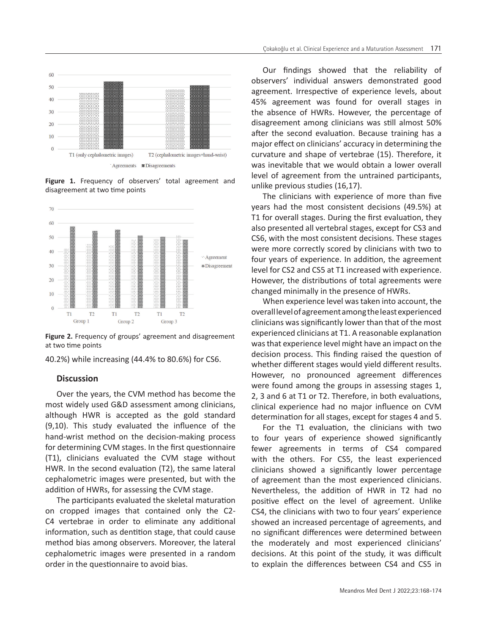

**Figure 1.** Frequency of observers' total agreement and disagreement at two time points



**Figure 2.** Frequency of groups' agreement and disagreement at two time points

40.2%) while increasing (44.4% to 80.6%) for CS6.

#### **Discussion**

Over the years, the CVM method has become the most widely used G&D assessment among clinicians, although HWR is accepted as the gold standard (9,10). This study evaluated the influence of the hand-wrist method on the decision-making process for determining CVM stages. In the first questionnaire (T1), clinicians evaluated the CVM stage without HWR. In the second evaluation (T2), the same lateral cephalometric images were presented, but with the addition of HWRs, for assessing the CVM stage.

The participants evaluated the skeletal maturation on cropped images that contained only the C2- C4 vertebrae in order to eliminate any additional information, such as dentition stage, that could cause method bias among observers. Moreover, the lateral cephalometric images were presented in a random order in the questionnaire to avoid bias.

Our findings showed that the reliability of observers' individual answers demonstrated good agreement. Irrespective of experience levels, about 45% agreement was found for overall stages in the absence of HWRs. However, the percentage of disagreement among clinicians was still almost 50% after the second evaluation. Because training has a major effect on clinicians' accuracy in determining the curvature and shape of vertebrae (15). Therefore, it was inevitable that we would obtain a lower overall level of agreement from the untrained participants, unlike previous studies (16,17).

The clinicians with experience of more than five years had the most consistent decisions (49.5%) at T1 for overall stages. During the first evaluation, they also presented all vertebral stages, except for CS3 and CS6, with the most consistent decisions. These stages were more correctly scored by clinicians with two to four years of experience. In addition, the agreement level for CS2 and CS5 at T1 increased with experience. However, the distributions of total agreements were changed minimally in the presence of HWRs.

When experience level was taken into account, the overall level of agreement among the least experienced clinicians was significantly lower than that of the most experienced clinicians at T1. A reasonable explanation was that experience level might have an impact on the decision process. This finding raised the question of whether different stages would yield different results. However, no pronounced agreement differences were found among the groups in assessing stages 1, 2, 3 and 6 at T1 or T2. Therefore, in both evaluations, clinical experience had no major influence on CVM determination for all stages, except for stages 4 and 5.

For the T1 evaluation, the clinicians with two to four years of experience showed significantly fewer agreements in terms of CS4 compared with the others. For CS5, the least experienced clinicians showed a significantly lower percentage of agreement than the most experienced clinicians. Nevertheless, the addition of HWR in T2 had no positive effect on the level of agreement. Unlike CS4, the clinicians with two to four years' experience showed an increased percentage of agreements, and no significant differences were determined between the moderately and most experienced clinicians' decisions. At this point of the study, it was difficult to explain the differences between CS4 and CS5 in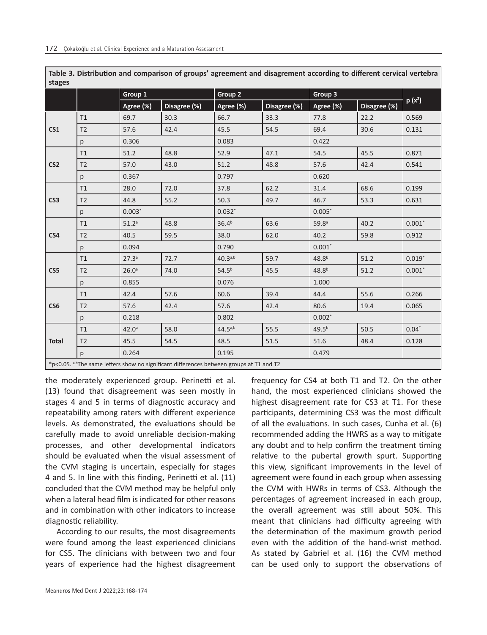| stages          |                |                   |                                                                                                      |                    |              |                   |              |          |
|-----------------|----------------|-------------------|------------------------------------------------------------------------------------------------------|--------------------|--------------|-------------------|--------------|----------|
|                 |                | Group 1           |                                                                                                      | Group <sub>2</sub> |              | Group 3           |              |          |
|                 |                | Agree (%)         | Disagree (%)                                                                                         | Agree (%)          | Disagree (%) | Agree (%)         | Disagree (%) | $p(x^2)$ |
| CS <sub>1</sub> | T1             | 69.7              | 30.3                                                                                                 | 66.7               | 33.3         | 77.8              | 22.2         | 0.569    |
|                 | T <sub>2</sub> | 57.6              | 42.4                                                                                                 | 45.5               | 54.5         | 69.4              | 30.6         | 0.131    |
|                 | p              | 0.306             |                                                                                                      | 0.083              |              | 0.422             |              |          |
| CS <sub>2</sub> | T1             | 51.2              | 48.8                                                                                                 | 52.9               | 47.1         | 54.5              | 45.5         | 0.871    |
|                 | T <sub>2</sub> | 57.0              | 43.0                                                                                                 | 51.2               | 48.8         | 57.6              | 42.4         | 0.541    |
|                 | p              | 0.367             |                                                                                                      | 0.797              |              | 0.620             |              |          |
| CS <sub>3</sub> | T1             | 28.0              | 72.0                                                                                                 | 37.8               | 62.2         | 31.4              | 68.6         | 0.199    |
|                 | T <sub>2</sub> | 44.8              | 55.2                                                                                                 | 50.3               | 49.7         | 46.7              | 53.3         | 0.631    |
| p               |                | $0.003*$          |                                                                                                      | $0.032*$           |              | $0.005*$          |              |          |
| CS4             | T1             | 51.2 <sup>a</sup> | 48.8                                                                                                 | 36.4 <sup>b</sup>  | 63.6         | 59.8 <sup>a</sup> | 40.2         | $0.001*$ |
|                 | T <sub>2</sub> | 40.5              | 59.5                                                                                                 | 38.0               | 62.0         | 40.2              | 59.8         | 0.912    |
|                 | p              | 0.094             |                                                                                                      | 0.790              |              | $0.001*$          |              |          |
| CS5             | T1             | 27.3 <sup>a</sup> | 72.7                                                                                                 | $40.3^{a,b}$       | 59.7         | 48.8 <sup>b</sup> | 51.2         | $0.019*$ |
|                 | T <sub>2</sub> | 26.0 <sup>a</sup> | 74.0                                                                                                 | $54.5^{b}$         | 45.5         | 48.8 <sup>b</sup> | 51.2         | $0.001*$ |
|                 | p              | 0.855             |                                                                                                      | 0.076              |              | 1.000             |              |          |
| CS <sub>6</sub> | T1             | 42.4              | 57.6                                                                                                 | 60.6               | 39.4         | 44.4              | 55.6         | 0.266    |
|                 | T <sub>2</sub> | 57.6              | 42.4                                                                                                 | 57.6               | 42.4         | 80.6              | 19.4         | 0.065    |
|                 | p              | 0.218             |                                                                                                      | 0.802              |              | $0.002*$          |              |          |
| <b>Total</b>    | T1             | 42.0 <sup>a</sup> | 58.0                                                                                                 | $44.5^{a,b}$       | 55.5         | $49.5^{b}$        | 50.5         | $0.04*$  |
|                 | T <sub>2</sub> | 45.5              | 54.5                                                                                                 | 48.5               | 51.5         | 51.6              | 48.4         | 0.128    |
|                 | p              | 0.264             |                                                                                                      | 0.195              |              | 0.479             |              |          |
|                 |                |                   | *p<0.05. <sup>a,b</sup> The same letters show no significant differences between groups at T1 and T2 |                    |              |                   |              |          |

**Table 3. Distribution and comparison of groups' agreement and disagrement according to different cervical vertebra stages**

the moderately experienced group. Perinetti et al. (13) found that disagreement was seen mostly in stages 4 and 5 in terms of diagnostic accuracy and repeatability among raters with different experience levels. As demonstrated, the evaluations should be carefully made to avoid unreliable decision-making processes, and other developmental indicators should be evaluated when the visual assessment of the CVM staging is uncertain, especially for stages 4 and 5. In line with this finding, Perinetti et al. (11) concluded that the CVM method may be helpful only when a lateral head film is indicated for other reasons and in combination with other indicators to increase diagnostic reliability.

According to our results, the most disagreements were found among the least experienced clinicians for CS5. The clinicians with between two and four years of experience had the highest disagreement

frequency for CS4 at both T1 and T2. On the other hand, the most experienced clinicians showed the highest disagreement rate for CS3 at T1. For these participants, determining CS3 was the most difficult of all the evaluations. In such cases, Cunha et al. (6) recommended adding the HWRS as a way to mitigate any doubt and to help confirm the treatment timing relative to the pubertal growth spurt. Supporting this view, significant improvements in the level of agreement were found in each group when assessing the CVM with HWRs in terms of CS3. Although the percentages of agreement increased in each group, the overall agreement was still about 50%. This meant that clinicians had difficulty agreeing with the determination of the maximum growth period even with the addition of the hand-wrist method. As stated by Gabriel et al. (16) the CVM method can be used only to support the observations of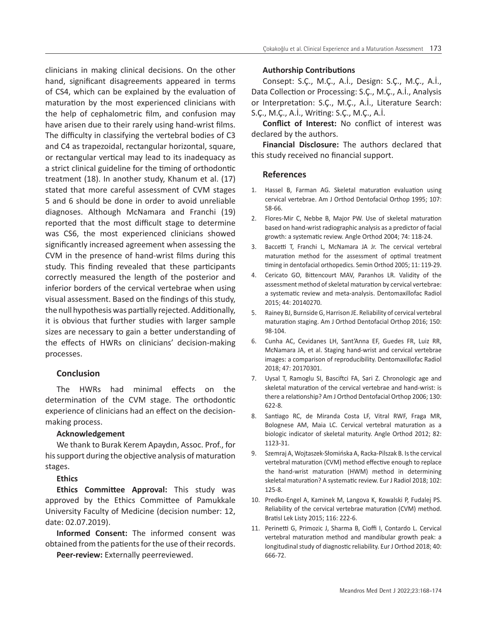clinicians in making clinical decisions. On the other hand, significant disagreements appeared in terms of CS4, which can be explained by the evaluation of maturation by the most experienced clinicians with the help of cephalometric film, and confusion may have arisen due to their rarely using hand-wrist films. The difficulty in classifying the vertebral bodies of C3 and C4 as trapezoidal, rectangular horizontal, square, or rectangular vertical may lead to its inadequacy as a strict clinical guideline for the timing of orthodontic treatment (18). In another study, Khanum et al. (17) stated that more careful assessment of CVM stages 5 and 6 should be done in order to avoid unreliable diagnoses. Although McNamara and Franchi (19) reported that the most difficult stage to determine was CS6, the most experienced clinicians showed significantly increased agreement when assessing the CVM in the presence of hand-wrist films during this study. This finding revealed that these participants correctly measured the length of the posterior and inferior borders of the cervical vertebrae when using visual assessment. Based on the findings of this study, the null hypothesis was partially rejected. Additionally, it is obvious that further studies with larger sample sizes are necessary to gain a better understanding of the effects of HWRs on clinicians' decision-making processes.

# **Conclusion**

The HWRs had minimal effects on the determination of the CVM stage. The orthodontic experience of clinicians had an effect on the decisionmaking process.

## **Acknowledgement**

We thank to Burak Kerem Apaydın, Assoc. Prof., for his support during the objective analysis of maturation stages.

# **Ethics**

**Ethics Committee Approval:** This study was approved by the Ethics Committee of Pamukkale University Faculty of Medicine (decision number: 12, date: 02.07.2019).

**Informed Consent:** The informed consent was obtained from the patients for the use of their records.

**Peer-review:** Externally peerreviewed.

## **Authorship Contributions**

Consept: S.Ç., M.Ç., A.İ., Design: S.Ç., M.Ç., A.İ., Data Collection or Processing: S.Ç., M.Ç., A.İ., Analysis or Interpretation: S.Ç., M.Ç., A.İ., Literature Search: S.Ç., M.Ç., A.İ., Writing: S.Ç., M.Ç., A.İ.

**Conflict of Interest:** No conflict of interest was declared by the authors.

**Financial Disclosure:** The authors declared that this study received no financial support.

# **References**

- 1. Hassel B, Farman AG. Skeletal maturation evaluation using cervical vertebrae. Am J Orthod Dentofacial Orthop 1995; 107: 58-66.
- 2. Flores-Mir C, Nebbe B, Major PW. Use of skeletal maturation based on hand-wrist radiographic analysis as a predictor of facial growth: a systematic review. Angle Orthod 2004; 74: 118-24.
- 3. Baccetti T, Franchi L, McNamara JA Jr. The cervical vertebral maturation method for the assessment of optimal treatment timing in dentofacial orthopedics. Semin Orthod 2005; 11: 119-29.
- 4. Cericato GO, Bittencourt MAV, Paranhos LR. Validity of the assessment method of skeletal maturation by cervical vertebrae: a systematic review and meta-analysis. Dentomaxillofac Radiol 2015; 44: 20140270.
- 5. Rainey BJ, Burnside G, Harrison JE. Reliability of cervical vertebral maturation staging. Am J Orthod Dentofacial Orthop 2016; 150: 98-104.
- 6. Cunha AC, Cevidanes LH, Sant'Anna EF, Guedes FR, Luiz RR, McNamara JA, et al. Staging hand-wrist and cervical vertebrae images: a comparison of reproducibility. Dentomaxillofac Radiol 2018; 47: 20170301.
- 7. Uysal T, Ramoglu SI, Basciftci FA, Sari Z. Chronologic age and skeletal maturation of the cervical vertebrae and hand-wrist: is there a relationship? Am J Orthod Dentofacial Orthop 2006; 130: 622-8.
- 8. Santiago RC, de Miranda Costa LF, Vitral RWF, Fraga MR, Bolognese AM, Maia LC. Cervical vertebral maturation as a biologic indicator of skeletal maturity. Angle Orthod 2012; 82: 1123-31.
- 9. Szemraj A, Wojtaszek-Słomińska A, Racka-Pilszak B. Is the cervical vertebral maturation (CVM) method effective enough to replace the hand-wrist maturation (HWM) method in determining skeletal maturation? A systematic review. Eur J Radiol 2018; 102: 125-8.
- 10. Predko-Engel A, Kaminek M, Langova K, Kowalski P, Fudalej PS. Reliability of the cervical vertebrae maturation (CVM) method. Bratisl Lek Listy 2015; 116: 222-6.
- 11. Perinetti G, Primozic J, Sharma B, Cioffi I, Contardo L. Cervical vertebral maturation method and mandibular growth peak: a longitudinal study of diagnostic reliability. Eur J Orthod 2018; 40: 666-72.